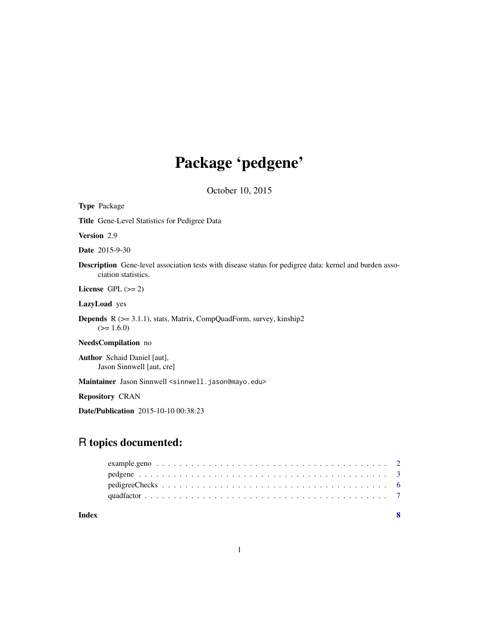# Package 'pedgene'

October 10, 2015

Date/Publication 2015-10-10 00:38:23

# R topics documented: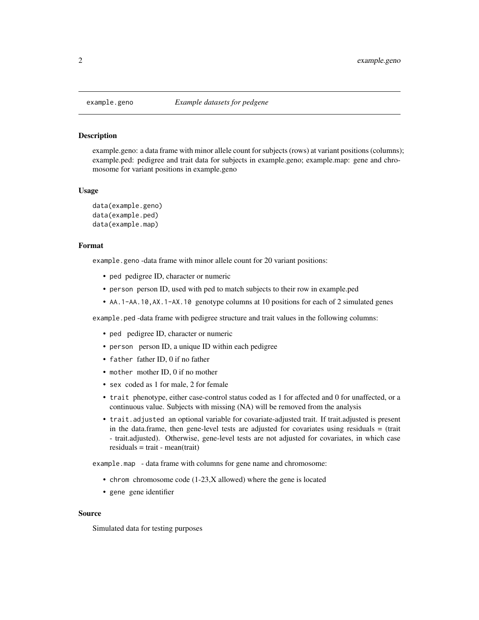<span id="page-1-0"></span>

#### Description

example.geno: a data frame with minor allele count for subjects (rows) at variant positions (columns); example.ped: pedigree and trait data for subjects in example.geno; example.map: gene and chromosome for variant positions in example.geno

#### Usage

```
data(example.geno)
data(example.ped)
data(example.map)
```
#### Format

example.geno -data frame with minor allele count for 20 variant positions:

- ped pedigree ID, character or numeric
- person person ID, used with ped to match subjects to their row in example.ped
- AA.1-AA.10,AX.1-AX.10 genotype columns at 10 positions for each of 2 simulated genes

example.ped -data frame with pedigree structure and trait values in the following columns:

- ped pedigree ID, character or numeric
- person person ID, a unique ID within each pedigree
- father father ID, 0 if no father
- mother mother ID, 0 if no mother
- sex coded as 1 for male, 2 for female
- trait phenotype, either case-control status coded as 1 for affected and 0 for unaffected, or a continuous value. Subjects with missing (NA) will be removed from the analysis
- trait.adjusted an optional variable for covariate-adjusted trait. If trait.adjusted is present in the data.frame, then gene-level tests are adjusted for covariates using residuals = (trait - trait.adjusted). Otherwise, gene-level tests are not adjusted for covariates, in which case  $residuals = trait - mean(train)$

example.map - data frame with columns for gene name and chromosome:

- chrom chromosome code (1-23,X allowed) where the gene is located
- gene gene identifier

#### Source

Simulated data for testing purposes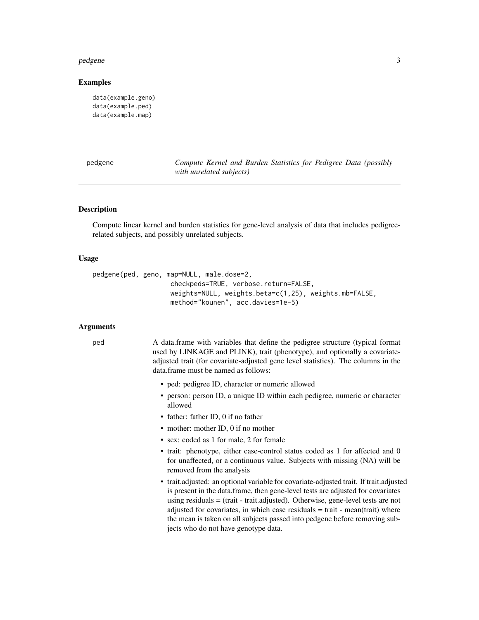#### <span id="page-2-0"></span>pedgene 33

#### Examples

```
data(example.geno)
data(example.ped)
data(example.map)
```
pedgene *Compute Kernel and Burden Statistics for Pedigree Data (possibly with unrelated subjects)*

#### Description

Compute linear kernel and burden statistics for gene-level analysis of data that includes pedigreerelated subjects, and possibly unrelated subjects.

#### Usage

```
pedgene(ped, geno, map=NULL, male.dose=2,
                    checkpeds=TRUE, verbose.return=FALSE,
                    weights=NULL, weights.beta=c(1,25), weights.mb=FALSE,
                    method="kounen", acc.davies=1e-5)
```
#### Arguments

ped A data.frame with variables that define the pedigree structure (typical format used by LINKAGE and PLINK), trait (phenotype), and optionally a covariateadjusted trait (for covariate-adjusted gene level statistics). The columns in the data.frame must be named as follows:

- ped: pedigree ID, character or numeric allowed
- person: person ID, a unique ID within each pedigree, numeric or character allowed
- father: father ID, 0 if no father
- mother: mother ID, 0 if no mother
- sex: coded as 1 for male, 2 for female
- trait: phenotype, either case-control status coded as 1 for affected and 0 for unaffected, or a continuous value. Subjects with missing (NA) will be removed from the analysis
- trait.adjusted: an optional variable for covariate-adjusted trait. If trait.adjusted is present in the data.frame, then gene-level tests are adjusted for covariates using residuals = (trait - trait.adjusted). Otherwise, gene-level tests are not adjusted for covariates, in which case residuals  $=$  trait - mean(trait) where the mean is taken on all subjects passed into pedgene before removing subjects who do not have genotype data.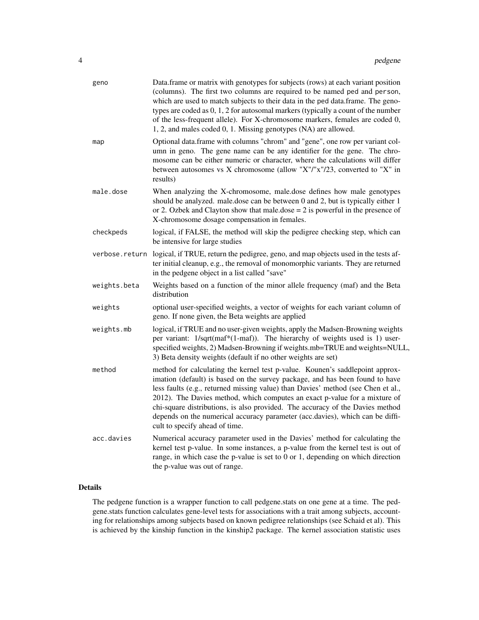| Optional data.frame with columns "chrom" and "gene", one row per variant col-<br>map<br>umn in geno. The gene name can be any identifier for the gene. The chro-<br>mosome can be either numeric or character, where the calculations will differ<br>between autosomes vs X chromosome (allow "X"/"x"/23, converted to "X" in<br>results)<br>male.dose<br>When analyzing the X-chromosome, male.dose defines how male genotypes<br>should be analyzed. male.dose can be between 0 and 2, but is typically either 1<br>or 2. Ozbek and Clayton show that male.dose $= 2$ is powerful in the presence of<br>X-chromosome dosage compensation in females.<br>logical, if FALSE, the method will skip the pedigree checking step, which can<br>checkpeds<br>be intensive for large studies<br>verbose.return<br>logical, if TRUE, return the pedigree, geno, and map objects used in the tests af-<br>ter initial cleanup, e.g., the removal of monomorphic variants. They are returned<br>in the pedgene object in a list called "save"<br>weights.beta<br>Weights based on a function of the minor allele frequency (maf) and the Beta<br>distribution<br>optional user-specified weights, a vector of weights for each variant column of<br>weights<br>geno. If none given, the Beta weights are applied<br>logical, if TRUE and no user-given weights, apply the Madsen-Browning weights<br>weights.mb<br>per variant: 1/sqrt(maf*(1-maf)). The hierarchy of weights used is 1) user-<br>3) Beta density weights (default if no other weights are set)<br>method<br>method for calculating the kernel test p-value. Kounen's saddlepoint approx-<br>imation (default) is based on the survey package, and has been found to have<br>less faults (e.g., returned missing value) than Davies' method (see Chen et al.,<br>2012). The Davies method, which computes an exact p-value for a mixture of<br>chi-square distributions, is also provided. The accuracy of the Davies method<br>depends on the numerical accuracy parameter (acc.davies), which can be diffi-<br>cult to specify ahead of time.<br>acc.davies<br>Numerical accuracy parameter used in the Davies' method for calculating the<br>kernel test p-value. In some instances, a p-value from the kernel test is out of | geno | Data.frame or matrix with genotypes for subjects (rows) at each variant position<br>(columns). The first two columns are required to be named ped and person,<br>which are used to match subjects to their data in the ped data.frame. The geno-<br>types are coded as $0, 1, 2$ for autosomal markers (typically a count of the number<br>of the less-frequent allele). For X-chromosome markers, females are coded 0,<br>1, 2, and males coded 0, 1. Missing genotypes (NA) are allowed. |
|-----------------------------------------------------------------------------------------------------------------------------------------------------------------------------------------------------------------------------------------------------------------------------------------------------------------------------------------------------------------------------------------------------------------------------------------------------------------------------------------------------------------------------------------------------------------------------------------------------------------------------------------------------------------------------------------------------------------------------------------------------------------------------------------------------------------------------------------------------------------------------------------------------------------------------------------------------------------------------------------------------------------------------------------------------------------------------------------------------------------------------------------------------------------------------------------------------------------------------------------------------------------------------------------------------------------------------------------------------------------------------------------------------------------------------------------------------------------------------------------------------------------------------------------------------------------------------------------------------------------------------------------------------------------------------------------------------------------------------------------------------------------------------------------------------------------------------------------------------------------------------------------------------------------------------------------------------------------------------------------------------------------------------------------------------------------------------------------------------------------------------------------------------------------------------------------------------------------------------------------------------------------------------------------|------|--------------------------------------------------------------------------------------------------------------------------------------------------------------------------------------------------------------------------------------------------------------------------------------------------------------------------------------------------------------------------------------------------------------------------------------------------------------------------------------------|
|                                                                                                                                                                                                                                                                                                                                                                                                                                                                                                                                                                                                                                                                                                                                                                                                                                                                                                                                                                                                                                                                                                                                                                                                                                                                                                                                                                                                                                                                                                                                                                                                                                                                                                                                                                                                                                                                                                                                                                                                                                                                                                                                                                                                                                                                                         |      |                                                                                                                                                                                                                                                                                                                                                                                                                                                                                            |
|                                                                                                                                                                                                                                                                                                                                                                                                                                                                                                                                                                                                                                                                                                                                                                                                                                                                                                                                                                                                                                                                                                                                                                                                                                                                                                                                                                                                                                                                                                                                                                                                                                                                                                                                                                                                                                                                                                                                                                                                                                                                                                                                                                                                                                                                                         |      |                                                                                                                                                                                                                                                                                                                                                                                                                                                                                            |
|                                                                                                                                                                                                                                                                                                                                                                                                                                                                                                                                                                                                                                                                                                                                                                                                                                                                                                                                                                                                                                                                                                                                                                                                                                                                                                                                                                                                                                                                                                                                                                                                                                                                                                                                                                                                                                                                                                                                                                                                                                                                                                                                                                                                                                                                                         |      |                                                                                                                                                                                                                                                                                                                                                                                                                                                                                            |
|                                                                                                                                                                                                                                                                                                                                                                                                                                                                                                                                                                                                                                                                                                                                                                                                                                                                                                                                                                                                                                                                                                                                                                                                                                                                                                                                                                                                                                                                                                                                                                                                                                                                                                                                                                                                                                                                                                                                                                                                                                                                                                                                                                                                                                                                                         |      |                                                                                                                                                                                                                                                                                                                                                                                                                                                                                            |
|                                                                                                                                                                                                                                                                                                                                                                                                                                                                                                                                                                                                                                                                                                                                                                                                                                                                                                                                                                                                                                                                                                                                                                                                                                                                                                                                                                                                                                                                                                                                                                                                                                                                                                                                                                                                                                                                                                                                                                                                                                                                                                                                                                                                                                                                                         |      |                                                                                                                                                                                                                                                                                                                                                                                                                                                                                            |
|                                                                                                                                                                                                                                                                                                                                                                                                                                                                                                                                                                                                                                                                                                                                                                                                                                                                                                                                                                                                                                                                                                                                                                                                                                                                                                                                                                                                                                                                                                                                                                                                                                                                                                                                                                                                                                                                                                                                                                                                                                                                                                                                                                                                                                                                                         |      |                                                                                                                                                                                                                                                                                                                                                                                                                                                                                            |
|                                                                                                                                                                                                                                                                                                                                                                                                                                                                                                                                                                                                                                                                                                                                                                                                                                                                                                                                                                                                                                                                                                                                                                                                                                                                                                                                                                                                                                                                                                                                                                                                                                                                                                                                                                                                                                                                                                                                                                                                                                                                                                                                                                                                                                                                                         |      | specified weights, 2) Madsen-Browning if weights.mb=TRUE and weights=NULL,                                                                                                                                                                                                                                                                                                                                                                                                                 |
|                                                                                                                                                                                                                                                                                                                                                                                                                                                                                                                                                                                                                                                                                                                                                                                                                                                                                                                                                                                                                                                                                                                                                                                                                                                                                                                                                                                                                                                                                                                                                                                                                                                                                                                                                                                                                                                                                                                                                                                                                                                                                                                                                                                                                                                                                         |      |                                                                                                                                                                                                                                                                                                                                                                                                                                                                                            |
| the p-value was out of range.                                                                                                                                                                                                                                                                                                                                                                                                                                                                                                                                                                                                                                                                                                                                                                                                                                                                                                                                                                                                                                                                                                                                                                                                                                                                                                                                                                                                                                                                                                                                                                                                                                                                                                                                                                                                                                                                                                                                                                                                                                                                                                                                                                                                                                                           |      | range, in which case the p-value is set to $0$ or 1, depending on which direction                                                                                                                                                                                                                                                                                                                                                                                                          |

### Details

The pedgene function is a wrapper function to call pedgene.stats on one gene at a time. The pedgene.stats function calculates gene-level tests for associations with a trait among subjects, accounting for relationships among subjects based on known pedigree relationships (see Schaid et al). This is achieved by the kinship function in the kinship2 package. The kernel association statistic uses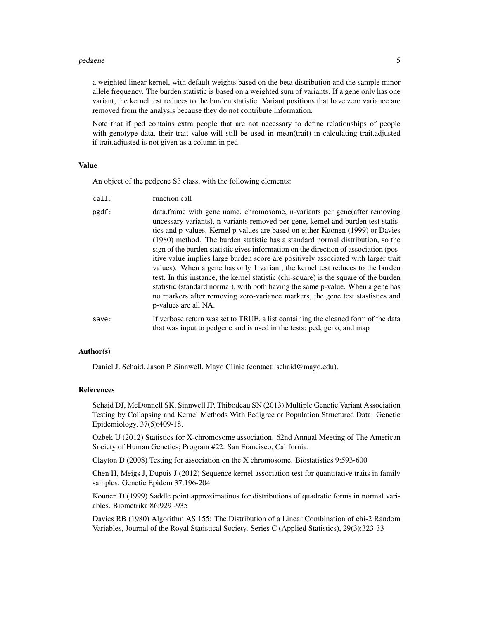#### pedgene 55 to 55 million to 20 million to 20 million to 20 million to 20 million to 20 million to 20 million to 20 million to 20 million to 20 million to 20 million to 20 million to 20 million to 20 million to 20 million t

a weighted linear kernel, with default weights based on the beta distribution and the sample minor allele frequency. The burden statistic is based on a weighted sum of variants. If a gene only has one variant, the kernel test reduces to the burden statistic. Variant positions that have zero variance are removed from the analysis because they do not contribute information.

Note that if ped contains extra people that are not necessary to define relationships of people with genotype data, their trait value will still be used in mean(trait) in calculating trait.adjusted if trait.adjusted is not given as a column in ped.

#### Value

An object of the pedgene S3 class, with the following elements:

| call:          | function call           |
|----------------|-------------------------|
| $n \alpha$ df. | data frama with gang no |

pgdf: data.frame with gene name, chromosome, n-variants per gene(after removing uncessary variants), n-variants removed per gene, kernel and burden test statistics and p-values. Kernel p-values are based on either Kuonen (1999) or Davies (1980) method. The burden statistic has a standard normal distribution, so the sign of the burden statistic gives information on the direction of association (positive value implies large burden score are positively associated with larger trait values). When a gene has only 1 variant, the kernel test reduces to the burden test. In this instance, the kernel statistic (chi-square) is the square of the burden statistic (standard normal), with both having the same p-value. When a gene has no markers after removing zero-variance markers, the gene test stastistics and p-values are all NA. save: If verbose.return was set to TRUE, a list containing the cleaned form of the data

that was input to pedgene and is used in the tests: ped, geno, and map

#### Author(s)

Daniel J. Schaid, Jason P. Sinnwell, Mayo Clinic (contact: schaid@mayo.edu).

#### References

Schaid DJ, McDonnell SK, Sinnwell JP, Thibodeau SN (2013) Multiple Genetic Variant Association Testing by Collapsing and Kernel Methods With Pedigree or Population Structured Data. Genetic Epidemiology, 37(5):409-18.

Ozbek U (2012) Statistics for X-chromosome association. 62nd Annual Meeting of The American Society of Human Genetics; Program #22. San Francisco, California.

Clayton D (2008) Testing for association on the X chromosome. Biostatistics 9:593-600

Chen H, Meigs J, Dupuis J (2012) Sequence kernel association test for quantitative traits in family samples. Genetic Epidem 37:196-204

Kounen D (1999) Saddle point approximatinos for distributions of quadratic forms in normal variables. Biometrika 86:929 -935

Davies RB (1980) Algorithm AS 155: The Distribution of a Linear Combination of chi-2 Random Variables, Journal of the Royal Statistical Society. Series C (Applied Statistics), 29(3):323-33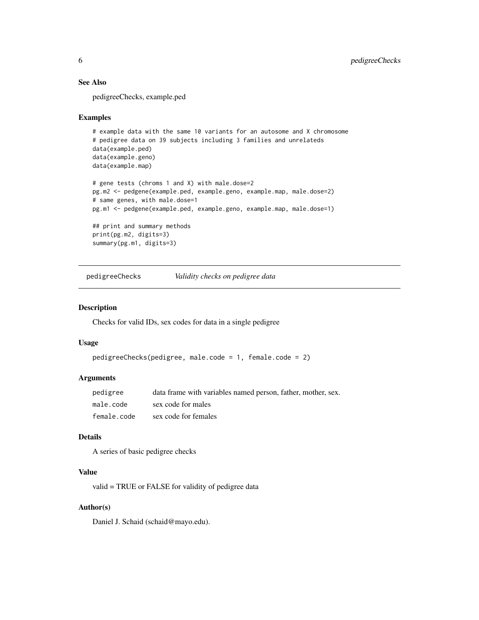#### See Also

pedigreeChecks, example.ped

#### Examples

```
# example data with the same 10 variants for an autosome and X chromosome
# pedigree data on 39 subjects including 3 families and unrelateds
data(example.ped)
data(example.geno)
data(example.map)
# gene tests (chroms 1 and X) with male.dose=2
pg.m2 <- pedgene(example.ped, example.geno, example.map, male.dose=2)
# same genes, with male.dose=1
pg.m1 <- pedgene(example.ped, example.geno, example.map, male.dose=1)
## print and summary methods
print(pg.m2, digits=3)
summary(pg.m1, digits=3)
```
pedigreeChecks *Validity checks on pedigree data*

#### Description

Checks for valid IDs, sex codes for data in a single pedigree

#### Usage

```
pedigreeChecks(pedigree, male.code = 1, female.code = 2)
```
#### Arguments

| pedigree    | data frame with variables named person, father, mother, sex. |
|-------------|--------------------------------------------------------------|
| male.code   | sex code for males                                           |
| female.code | sex code for females                                         |

#### Details

A series of basic pedigree checks

#### Value

valid = TRUE or FALSE for validity of pedigree data

#### Author(s)

Daniel J. Schaid (schaid@mayo.edu).

<span id="page-5-0"></span>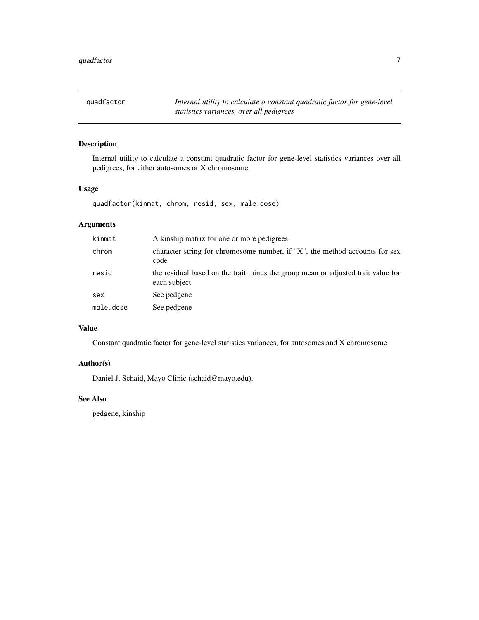<span id="page-6-0"></span>quadfactor *Internal utility to calculate a constant quadratic factor for gene-level statistics variances, over all pedigrees*

#### Description

Internal utility to calculate a constant quadratic factor for gene-level statistics variances over all pedigrees, for either autosomes or X chromosome

#### Usage

quadfactor(kinmat, chrom, resid, sex, male.dose)

### Arguments

| kinmat    | A kinship matrix for one or more pedigrees                                                       |
|-----------|--------------------------------------------------------------------------------------------------|
| chrom     | character string for chromosome number, if "X", the method accounts for sex<br>code              |
| resid     | the residual based on the trait minus the group mean or adjusted trait value for<br>each subject |
| sex       | See pedgene                                                                                      |
| male.dose | See pedgene                                                                                      |

## Value

Constant quadratic factor for gene-level statistics variances, for autosomes and X chromosome

#### Author(s)

Daniel J. Schaid, Mayo Clinic (schaid@mayo.edu).

#### See Also

pedgene, kinship